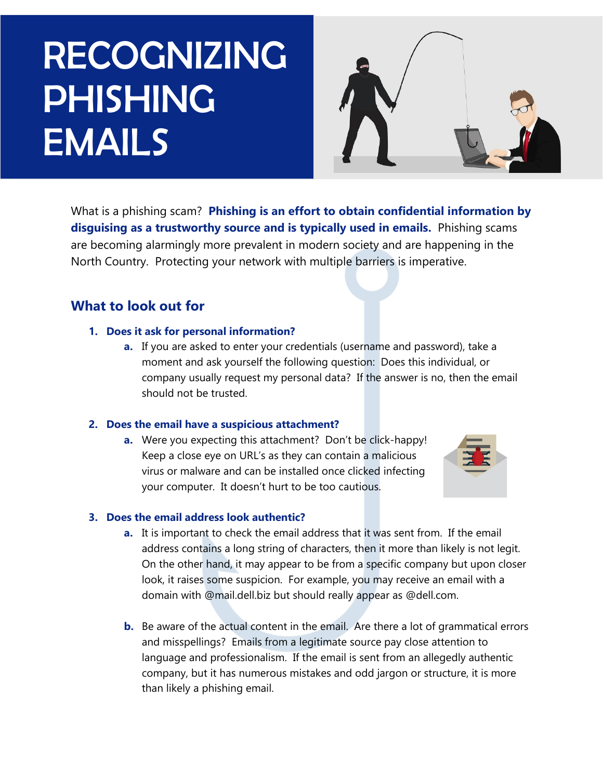# RECOGNIZING PHISHING EMAILS



What is a phishing scam? **Phishing is an effort to obtain confidential information by disguising as a trustworthy source and is typically used in emails.** Phishing scams are becoming alarmingly more prevalent in modern society and are happening in the North Country. Protecting your network with multiple barriers is imperative.

## **What to look out for**

#### **1. Does it ask for personal information?**

**a.** If you are asked to enter your credentials (username and password), take a moment and ask yourself the following question: Does this individual, or company usually request my personal data? If the answer is no, then the email should not be trusted.

#### **2. Does the email have a suspicious attachment?**

**a.** Were you expecting this attachment? Don't be click-happy! Keep a close eye on URL's as they can contain a malicious virus or malware and can be installed once clicked infecting your computer. It doesn't hurt to be too cautious.



#### **3. Does the email address look authentic?**

- **a.** It is important to check the email address that it was sent from. If the email address contains a long string of characters, then it more than likely is not legit. On the other hand, it may appear to be from a specific company but upon closer look, it raises some suspicion. For example, you may receive an email with a domain with @mail.dell.biz but should really appear as @dell.com.
- **b.** Be aware of the actual content in the email. Are there a lot of grammatical errors and misspellings? Emails from a legitimate source pay close attention to language and professionalism. If the email is sent from an allegedly authentic company, but it has numerous mistakes and odd jargon or structure, it is more than likely a phishing email.